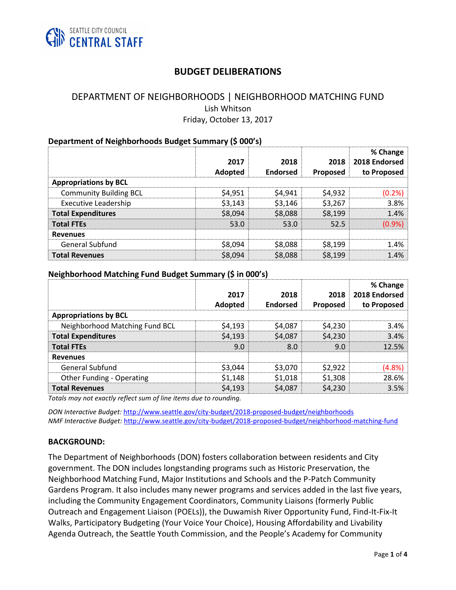

# **BUDGET DELIBERATIONS**

### DEPARTMENT OF NEIGHBORHOODS | NEIGHBORHOOD MATCHING FUND Lish Whitson Friday, October 13, 2017

#### **Department of Neighborhoods Budget Summary (\$ 000's)**

|                               | 2017<br>Adopted | 2018<br><b>Endorsed</b> | 2018<br>Proposed | % Change<br>2018 Endorsed<br>to Proposed |
|-------------------------------|-----------------|-------------------------|------------------|------------------------------------------|
| <b>Appropriations by BCL</b>  |                 |                         |                  |                                          |
| <b>Community Building BCL</b> | \$4,951         | \$4,941                 | \$4,932          | (0.2% )                                  |
| <b>Executive Leadership</b>   | \$3,143         | \$3,146                 | \$3,267          | 3.8%                                     |
| <b>Total Expenditures</b>     | \$8,094         | \$8,088                 | \$8,199          | 1.4%                                     |
| <b>Total FTEs</b>             | 53.0            | 53.0                    | 52.5             | (0.9%                                    |
| <b>Revenues</b>               |                 |                         |                  |                                          |
| <b>General Subfund</b>        | \$8,094         | \$8,088                 | \$8,199          | 1.4%                                     |
| <b>Total Revenues</b>         | \$8,094         | \$8,088                 | \$8,199          | 1.4%                                     |

### **Neighborhood Matching Fund Budget Summary (\$ in 000's)**

|                                  | 2017    | 2018            | 2018            | % Change<br>2018 Endorsed |
|----------------------------------|---------|-----------------|-----------------|---------------------------|
|                                  | Adopted | <b>Endorsed</b> | <b>Proposed</b> | to Proposed               |
| <b>Appropriations by BCL</b>     |         |                 |                 |                           |
| Neighborhood Matching Fund BCL   | \$4,193 | \$4,087         | \$4,230         | 3.4%                      |
| <b>Total Expenditures</b>        | \$4,193 | \$4,087         | \$4,230         | 3.4%                      |
| <b>Total FTEs</b>                | 9.0     | 8.0             | 9.0             | 12.5%                     |
| <b>Revenues</b>                  |         |                 |                 |                           |
| General Subfund                  | \$3,044 | \$3,070         | \$2,922         | (4.8%)                    |
| <b>Other Funding - Operating</b> | \$1,148 | \$1,018         | \$1,308         | 28.6%                     |
| <b>Total Revenues</b>            | \$4,193 | \$4,087         | \$4,230         | 3.5%                      |

*Totals may not exactly reflect sum of line items due to rounding.*

*DON Interactive Budget:* <http://www.seattle.gov/city-budget/2018-proposed-budget/neighborhoods> *NMF Interactive Budget:* <http://www.seattle.gov/city-budget/2018-proposed-budget/neighborhood-matching-fund>

#### **BACKGROUND:**

The Department of Neighborhoods (DON) fosters collaboration between residents and City government. The DON includes longstanding programs such as Historic Preservation, the Neighborhood Matching Fund, Major Institutions and Schools and the P-Patch Community Gardens Program. It also includes many newer programs and services added in the last five years, including the Community Engagement Coordinators, Community Liaisons (formerly Public Outreach and Engagement Liaison (POELs)), the Duwamish River Opportunity Fund, Find-It-Fix-It Walks, Participatory Budgeting (Your Voice Your Choice), Housing Affordability and Livability Agenda Outreach, the Seattle Youth Commission, and the People's Academy for Community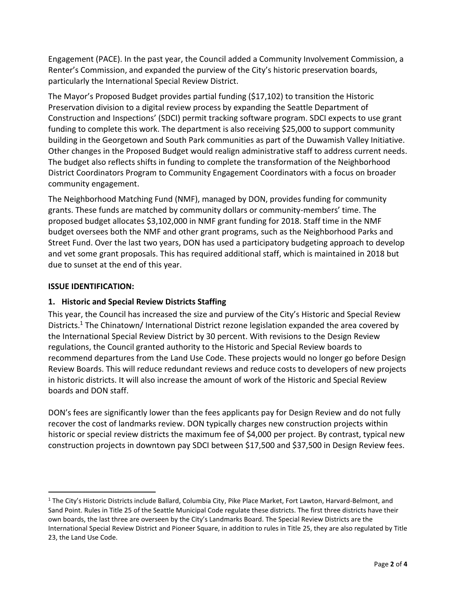Engagement (PACE). In the past year, the Council added a Community Involvement Commission, a Renter's Commission, and expanded the purview of the City's historic preservation boards, particularly the International Special Review District.

The Mayor's Proposed Budget provides partial funding (\$17,102) to transition the Historic Preservation division to a digital review process by expanding the Seattle Department of Construction and Inspections' (SDCI) permit tracking software program. SDCI expects to use grant funding to complete this work. The department is also receiving \$25,000 to support community building in the Georgetown and South Park communities as part of the Duwamish Valley Initiative. Other changes in the Proposed Budget would realign administrative staff to address current needs. The budget also reflects shifts in funding to complete the transformation of the Neighborhood District Coordinators Program to Community Engagement Coordinators with a focus on broader community engagement.

The Neighborhood Matching Fund (NMF), managed by DON, provides funding for community grants. These funds are matched by community dollars or community-members' time. The proposed budget allocates \$3,102,000 in NMF grant funding for 2018. Staff time in the NMF budget oversees both the NMF and other grant programs, such as the Neighborhood Parks and Street Fund. Over the last two years, DON has used a participatory budgeting approach to develop and vet some grant proposals. This has required additional staff, which is maintained in 2018 but due to sunset at the end of this year.

## **ISSUE IDENTIFICATION:**

 $\overline{a}$ 

## **1. Historic and Special Review Districts Staffing**

This year, the Council has increased the size and purview of the City's Historic and Special Review Districts.<sup>1</sup> The Chinatown/ International District rezone legislation expanded the area covered by the International Special Review District by 30 percent. With revisions to the Design Review regulations, the Council granted authority to the Historic and Special Review boards to recommend departures from the Land Use Code. These projects would no longer go before Design Review Boards. This will reduce redundant reviews and reduce costs to developers of new projects in historic districts. It will also increase the amount of work of the Historic and Special Review boards and DON staff.

DON's fees are significantly lower than the fees applicants pay for Design Review and do not fully recover the cost of landmarks review. DON typically charges new construction projects within historic or special review districts the maximum fee of \$4,000 per project. By contrast, typical new construction projects in downtown pay SDCI between \$17,500 and \$37,500 in Design Review fees.

<sup>1</sup> The City's Historic Districts include Ballard, Columbia City, Pike Place Market, Fort Lawton, Harvard-Belmont, and Sand Point. Rules in Title 25 of the Seattle Municipal Code regulate these districts. The first three districts have their own boards, the last three are overseen by the City's Landmarks Board. The Special Review Districts are the International Special Review District and Pioneer Square, in addition to rules in Title 25, they are also regulated by Title 23, the Land Use Code.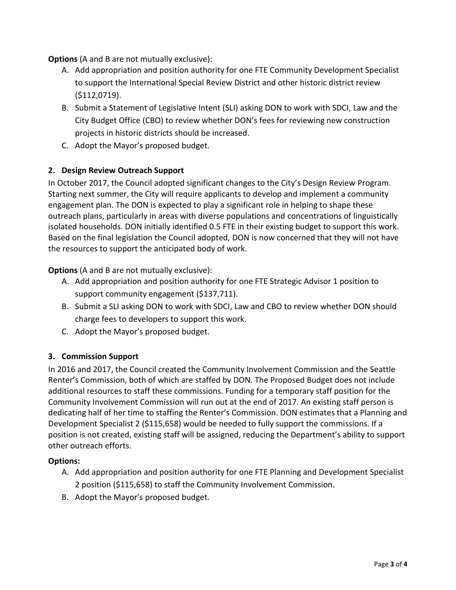**Options** (A and B are not mutually exclusive):

- A. Add appropriation and position authority for one FTE Community Development Specialist to support the International Special Review District and other historic district review (\$112,0719).
- B. Submit a Statement of Legislative Intent (SLI) asking DON to work with SDCI, Law and the City Budget Office (CBO) to review whether DON's fees for reviewing new construction projects in historic districts should be increased.
- C. Adopt the Mayor's proposed budget.

## **2. Design Review Outreach Support**

In October 2017, the Council adopted significant changes to the City's Design Review Program. Starting next summer, the City will require applicants to develop and implement a community engagement plan. The DON is expected to play a significant role in helping to shape these outreach plans, particularly in areas with diverse populations and concentrations of linguistically isolated households. DON initially identified 0.5 FTE in their existing budget to support this work. Based on the final legislation the Council adopted, DON is now concerned that they will not have the resources to support the anticipated body of work.

**Options** (A and B are not mutually exclusive):

- A. Add appropriation and position authority for one FTE Strategic Advisor 1 position to support community engagement (\$137,711).
- B. Submit a SLI asking DON to work with SDCI, Law and CBO to review whether DON should charge fees to developers to support this work.
- C. Adopt the Mayor's proposed budget.

# **3. Commission Support**

In 2016 and 2017, the Council created the Community Involvement Commission and the Seattle Renter's Commission, both of which are staffed by DON. The Proposed Budget does not include additional resources to staff these commissions. Funding for a temporary staff position for the Community Involvement Commission will run out at the end of 2017. An existing staff person is dedicating half of her time to staffing the Renter's Commission. DON estimates that a Planning and Development Specialist 2 (\$115,658) would be needed to fully support the commissions. If a position is not created, existing staff will be assigned, reducing the Department's ability to support other outreach efforts.

## **Options:**

- A. Add appropriation and position authority for one FTE Planning and Development Specialist 2 position (\$115,658) to staff the Community Involvement Commission.
- B. Adopt the Mayor's proposed budget.